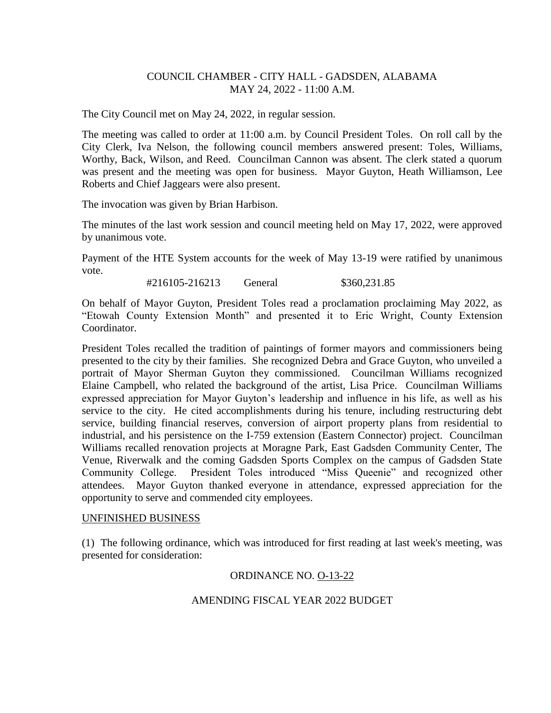# COUNCIL CHAMBER - CITY HALL - GADSDEN, ALABAMA MAY 24, 2022 - 11:00 A.M.

The City Council met on May 24, 2022, in regular session.

The meeting was called to order at 11:00 a.m. by Council President Toles. On roll call by the City Clerk, Iva Nelson, the following council members answered present: Toles, Williams, Worthy, Back, Wilson, and Reed. Councilman Cannon was absent. The clerk stated a quorum was present and the meeting was open for business. Mayor Guyton, Heath Williamson, Lee Roberts and Chief Jaggears were also present.

The invocation was given by Brian Harbison.

The minutes of the last work session and council meeting held on May 17, 2022, were approved by unanimous vote.

Payment of the HTE System accounts for the week of May 13-19 were ratified by unanimous vote.

#216105-216213 General \$360,231.85

On behalf of Mayor Guyton, President Toles read a proclamation proclaiming May 2022, as "Etowah County Extension Month" and presented it to Eric Wright, County Extension Coordinator.

President Toles recalled the tradition of paintings of former mayors and commissioners being presented to the city by their families. She recognized Debra and Grace Guyton, who unveiled a portrait of Mayor Sherman Guyton they commissioned. Councilman Williams recognized Elaine Campbell, who related the background of the artist, Lisa Price. Councilman Williams expressed appreciation for Mayor Guyton's leadership and influence in his life, as well as his service to the city. He cited accomplishments during his tenure, including restructuring debt service, building financial reserves, conversion of airport property plans from residential to industrial, and his persistence on the I-759 extension (Eastern Connector) project. Councilman Williams recalled renovation projects at Moragne Park, East Gadsden Community Center, The Venue, Riverwalk and the coming Gadsden Sports Complex on the campus of Gadsden State Community College. President Toles introduced "Miss Queenie" and recognized other attendees. Mayor Guyton thanked everyone in attendance, expressed appreciation for the opportunity to serve and commended city employees.

## UNFINISHED BUSINESS

(1) The following ordinance, which was introduced for first reading at last week's meeting, was presented for consideration:

## ORDINANCE NO. O-13-22

## AMENDING FISCAL YEAR 2022 BUDGET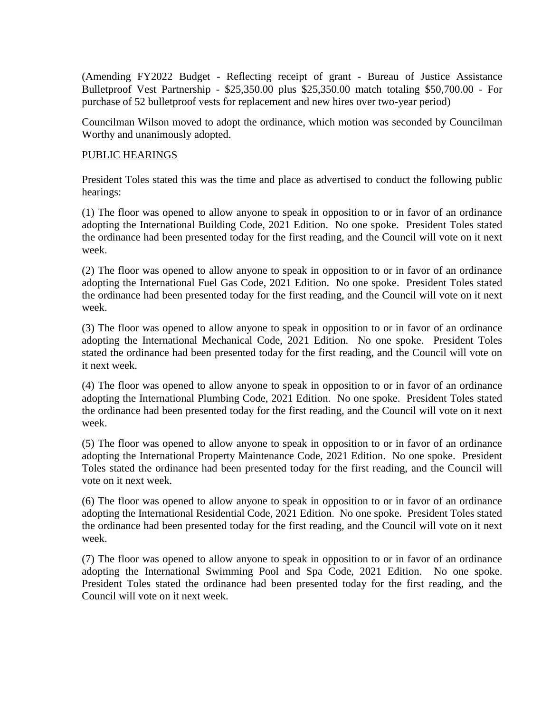(Amending FY2022 Budget - Reflecting receipt of grant - Bureau of Justice Assistance Bulletproof Vest Partnership - \$25,350.00 plus \$25,350.00 match totaling \$50,700.00 - For purchase of 52 bulletproof vests for replacement and new hires over two-year period)

Councilman Wilson moved to adopt the ordinance, which motion was seconded by Councilman Worthy and unanimously adopted.

#### PUBLIC HEARINGS

President Toles stated this was the time and place as advertised to conduct the following public hearings:

(1) The floor was opened to allow anyone to speak in opposition to or in favor of an ordinance adopting the International Building Code, 2021 Edition. No one spoke. President Toles stated the ordinance had been presented today for the first reading, and the Council will vote on it next week.

(2) The floor was opened to allow anyone to speak in opposition to or in favor of an ordinance adopting the International Fuel Gas Code, 2021 Edition. No one spoke. President Toles stated the ordinance had been presented today for the first reading, and the Council will vote on it next week.

(3) The floor was opened to allow anyone to speak in opposition to or in favor of an ordinance adopting the International Mechanical Code, 2021 Edition. No one spoke. President Toles stated the ordinance had been presented today for the first reading, and the Council will vote on it next week.

(4) The floor was opened to allow anyone to speak in opposition to or in favor of an ordinance adopting the International Plumbing Code, 2021 Edition. No one spoke. President Toles stated the ordinance had been presented today for the first reading, and the Council will vote on it next week.

(5) The floor was opened to allow anyone to speak in opposition to or in favor of an ordinance adopting the International Property Maintenance Code, 2021 Edition. No one spoke. President Toles stated the ordinance had been presented today for the first reading, and the Council will vote on it next week.

(6) The floor was opened to allow anyone to speak in opposition to or in favor of an ordinance adopting the International Residential Code, 2021 Edition. No one spoke. President Toles stated the ordinance had been presented today for the first reading, and the Council will vote on it next week.

(7) The floor was opened to allow anyone to speak in opposition to or in favor of an ordinance adopting the International Swimming Pool and Spa Code, 2021 Edition. No one spoke. President Toles stated the ordinance had been presented today for the first reading, and the Council will vote on it next week.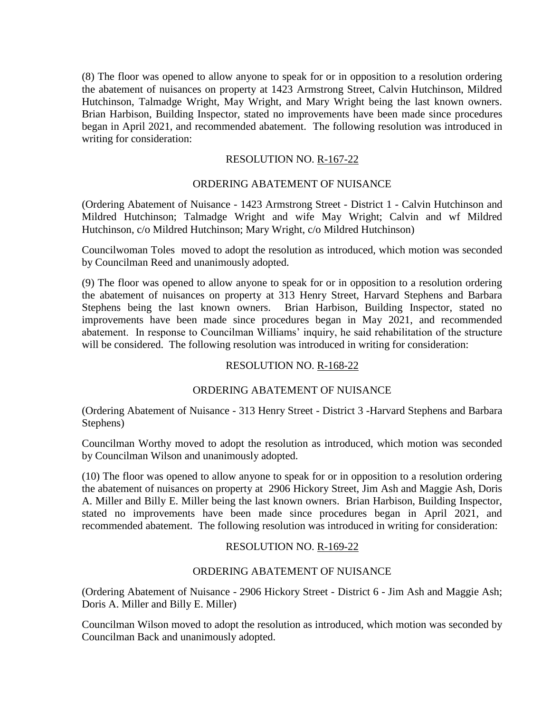(8) The floor was opened to allow anyone to speak for or in opposition to a resolution ordering the abatement of nuisances on property at 1423 Armstrong Street, Calvin Hutchinson, Mildred Hutchinson, Talmadge Wright, May Wright, and Mary Wright being the last known owners. Brian Harbison, Building Inspector, stated no improvements have been made since procedures began in April 2021, and recommended abatement. The following resolution was introduced in writing for consideration:

## RESOLUTION NO. R-167-22

# ORDERING ABATEMENT OF NUISANCE

(Ordering Abatement of Nuisance - 1423 Armstrong Street - District 1 - Calvin Hutchinson and Mildred Hutchinson; Talmadge Wright and wife May Wright; Calvin and wf Mildred Hutchinson, c/o Mildred Hutchinson; Mary Wright, c/o Mildred Hutchinson)

Councilwoman Toles moved to adopt the resolution as introduced, which motion was seconded by Councilman Reed and unanimously adopted.

(9) The floor was opened to allow anyone to speak for or in opposition to a resolution ordering the abatement of nuisances on property at 313 Henry Street, Harvard Stephens and Barbara Stephens being the last known owners. Brian Harbison, Building Inspector, stated no improvements have been made since procedures began in May 2021, and recommended abatement. In response to Councilman Williams' inquiry, he said rehabilitation of the structure will be considered. The following resolution was introduced in writing for consideration:

## RESOLUTION NO. R-168-22

## ORDERING ABATEMENT OF NUISANCE

(Ordering Abatement of Nuisance - 313 Henry Street - District 3 -Harvard Stephens and Barbara Stephens)

Councilman Worthy moved to adopt the resolution as introduced, which motion was seconded by Councilman Wilson and unanimously adopted.

(10) The floor was opened to allow anyone to speak for or in opposition to a resolution ordering the abatement of nuisances on property at 2906 Hickory Street, Jim Ash and Maggie Ash, Doris A. Miller and Billy E. Miller being the last known owners. Brian Harbison, Building Inspector, stated no improvements have been made since procedures began in April 2021, and recommended abatement. The following resolution was introduced in writing for consideration:

## RESOLUTION NO. R-169-22

## ORDERING ABATEMENT OF NUISANCE

(Ordering Abatement of Nuisance - 2906 Hickory Street - District 6 - Jim Ash and Maggie Ash; Doris A. Miller and Billy E. Miller)

Councilman Wilson moved to adopt the resolution as introduced, which motion was seconded by Councilman Back and unanimously adopted.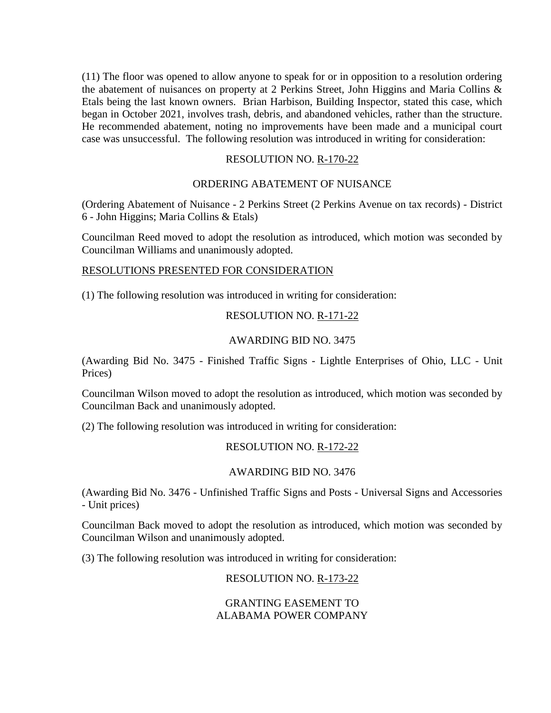(11) The floor was opened to allow anyone to speak for or in opposition to a resolution ordering the abatement of nuisances on property at 2 Perkins Street, John Higgins and Maria Collins & Etals being the last known owners. Brian Harbison, Building Inspector, stated this case, which began in October 2021, involves trash, debris, and abandoned vehicles, rather than the structure. He recommended abatement, noting no improvements have been made and a municipal court case was unsuccessful. The following resolution was introduced in writing for consideration:

# RESOLUTION NO. R-170-22

# ORDERING ABATEMENT OF NUISANCE

(Ordering Abatement of Nuisance - 2 Perkins Street (2 Perkins Avenue on tax records) - District 6 - John Higgins; Maria Collins & Etals)

Councilman Reed moved to adopt the resolution as introduced, which motion was seconded by Councilman Williams and unanimously adopted.

#### RESOLUTIONS PRESENTED FOR CONSIDERATION

(1) The following resolution was introduced in writing for consideration:

## RESOLUTION NO. R-171-22

## AWARDING BID NO. 3475

(Awarding Bid No. 3475 - Finished Traffic Signs - Lightle Enterprises of Ohio, LLC - Unit Prices)

Councilman Wilson moved to adopt the resolution as introduced, which motion was seconded by Councilman Back and unanimously adopted.

(2) The following resolution was introduced in writing for consideration:

# RESOLUTION NO. R-172-22

## AWARDING BID NO. 3476

(Awarding Bid No. 3476 - Unfinished Traffic Signs and Posts - Universal Signs and Accessories - Unit prices)

Councilman Back moved to adopt the resolution as introduced, which motion was seconded by Councilman Wilson and unanimously adopted.

(3) The following resolution was introduced in writing for consideration:

## RESOLUTION NO. R-173-22

## GRANTING EASEMENT TO ALABAMA POWER COMPANY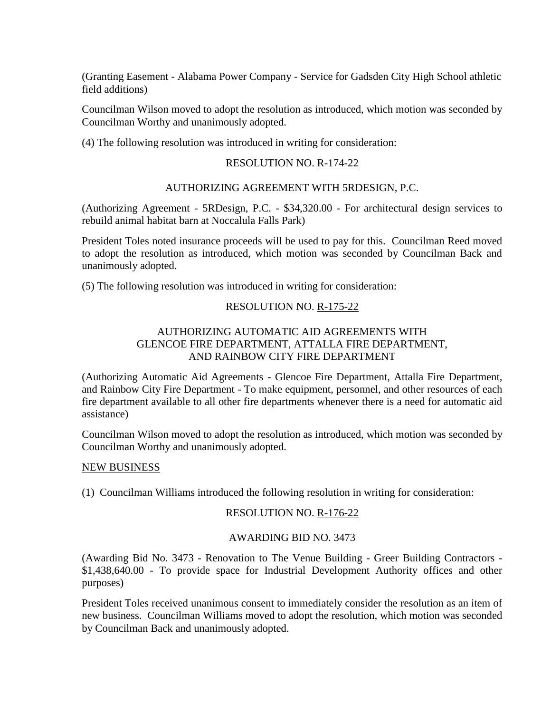(Granting Easement - Alabama Power Company - Service for Gadsden City High School athletic field additions)

Councilman Wilson moved to adopt the resolution as introduced, which motion was seconded by Councilman Worthy and unanimously adopted.

(4) The following resolution was introduced in writing for consideration:

#### RESOLUTION NO. R-174-22

#### AUTHORIZING AGREEMENT WITH 5RDESIGN, P.C.

(Authorizing Agreement - 5RDesign, P.C. - \$34,320.00 - For architectural design services to rebuild animal habitat barn at Noccalula Falls Park)

President Toles noted insurance proceeds will be used to pay for this. Councilman Reed moved to adopt the resolution as introduced, which motion was seconded by Councilman Back and unanimously adopted.

(5) The following resolution was introduced in writing for consideration:

#### RESOLUTION NO. R-175-22

# AUTHORIZING AUTOMATIC AID AGREEMENTS WITH GLENCOE FIRE DEPARTMENT, ATTALLA FIRE DEPARTMENT, AND RAINBOW CITY FIRE DEPARTMENT

(Authorizing Automatic Aid Agreements - Glencoe Fire Department, Attalla Fire Department, and Rainbow City Fire Department - To make equipment, personnel, and other resources of each fire department available to all other fire departments whenever there is a need for automatic aid assistance)

Councilman Wilson moved to adopt the resolution as introduced, which motion was seconded by Councilman Worthy and unanimously adopted.

#### NEW BUSINESS

(1) Councilman Williams introduced the following resolution in writing for consideration:

#### RESOLUTION NO. R-176-22

#### AWARDING BID NO. 3473

(Awarding Bid No. 3473 - Renovation to The Venue Building - Greer Building Contractors - \$1,438,640.00 - To provide space for Industrial Development Authority offices and other purposes)

President Toles received unanimous consent to immediately consider the resolution as an item of new business. Councilman Williams moved to adopt the resolution, which motion was seconded by Councilman Back and unanimously adopted.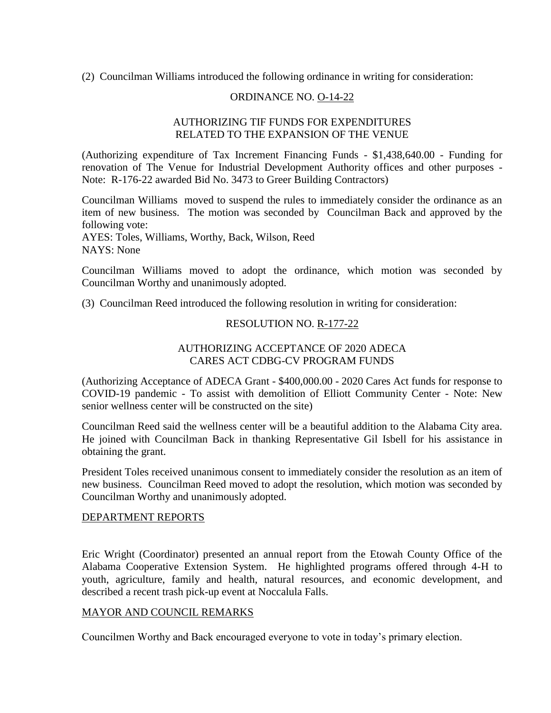(2) Councilman Williams introduced the following ordinance in writing for consideration:

# ORDINANCE NO. O-14-22

## AUTHORIZING TIF FUNDS FOR EXPENDITURES RELATED TO THE EXPANSION OF THE VENUE

(Authorizing expenditure of Tax Increment Financing Funds - \$1,438,640.00 - Funding for renovation of The Venue for Industrial Development Authority offices and other purposes - Note: R-176-22 awarded Bid No. 3473 to Greer Building Contractors)

Councilman Williams moved to suspend the rules to immediately consider the ordinance as an item of new business. The motion was seconded by Councilman Back and approved by the following vote:

AYES: Toles, Williams, Worthy, Back, Wilson, Reed NAYS: None

Councilman Williams moved to adopt the ordinance, which motion was seconded by Councilman Worthy and unanimously adopted.

(3) Councilman Reed introduced the following resolution in writing for consideration:

#### RESOLUTION NO. R-177-22

# AUTHORIZING ACCEPTANCE OF 2020 ADECA CARES ACT CDBG-CV PROGRAM FUNDS

(Authorizing Acceptance of ADECA Grant - \$400,000.00 - 2020 Cares Act funds for response to COVID-19 pandemic - To assist with demolition of Elliott Community Center - Note: New senior wellness center will be constructed on the site)

Councilman Reed said the wellness center will be a beautiful addition to the Alabama City area. He joined with Councilman Back in thanking Representative Gil Isbell for his assistance in obtaining the grant.

President Toles received unanimous consent to immediately consider the resolution as an item of new business. Councilman Reed moved to adopt the resolution, which motion was seconded by Councilman Worthy and unanimously adopted.

#### DEPARTMENT REPORTS

Eric Wright (Coordinator) presented an annual report from the Etowah County Office of the Alabama Cooperative Extension System. He highlighted programs offered through 4-H to youth, agriculture, family and health, natural resources, and economic development, and described a recent trash pick-up event at Noccalula Falls.

#### MAYOR AND COUNCIL REMARKS

Councilmen Worthy and Back encouraged everyone to vote in today's primary election.